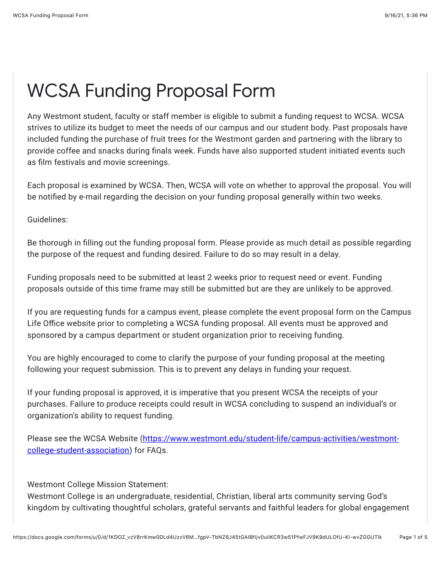## WCSA Funding Proposal Form

Any Westmont student, faculty or staff member is eligible to submit a funding request to WCSA. WCSA strives to utilize its budget to meet the needs of our campus and our student body. Past proposals have included funding the purchase of fruit trees for the Westmont garden and partnering with the library to provide coffee and snacks during finals week. Funds have also supported student initiated events such as film festivals and movie screenings.

Each proposal is examined by WCSA. Then, WCSA will vote on whether to approval the proposal. You will be notified by e-mail regarding the decision on your funding proposal generally within two weeks.

Guidelines:

Be thorough in filling out the funding proposal form. Please provide as much detail as possible regarding the purpose of the request and funding desired. Failure to do so may result in a delay.

Funding proposals need to be submitted at least 2 weeks prior to request need or event. Funding proposals outside of this time frame may still be submitted but are they are unlikely to be approved.

If you are requesting funds for a campus event, please complete the event proposal form on the Campus Life Office website prior to completing a WCSA funding proposal. All events must be approved and sponsored by a campus department or student organization prior to receiving funding.

You are highly encouraged to come to clarify the purpose of your funding proposal at the meeting following your request submission. This is to prevent any delays in funding your request.

If your funding proposal is approved, it is imperative that you present WCSA the receipts of your purchases. Failure to produce receipts could result in WCSA concluding to suspend an individual's or organization's ability to request funding.

[Please see the WCSA Website \(https://www.westmont.edu/student-life/campus-activities/westmont](https://www.google.com/url?q=https://www.westmont.edu/student-life/campus-activities/westmont-college-student-association&sa=D&source=editors&ust=1631842594815000&usg=AFQjCNEHRAYdrckJ6wUifmOp14w-zV-HVA)college-student-association) for FAQs.

Westmont College Mission Statement:

Westmont College is an undergraduate, residential, Christian, liberal arts community serving God's kingdom by cultivating thoughtful scholars, grateful servants and faithful leaders for global engagement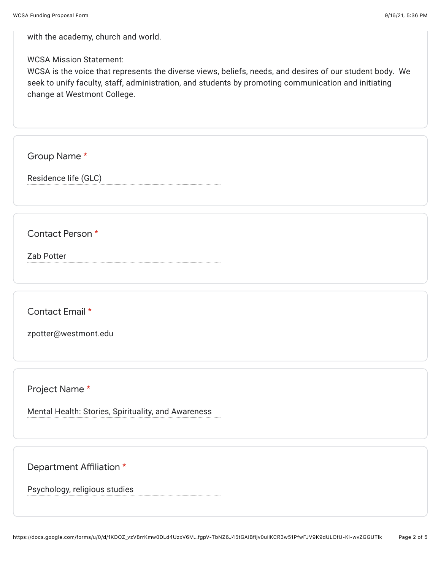with the academy, church and world.

## WCSA Mission Statement:

WCSA is the voice that represents the diverse views, beliefs, needs, and desires of our student body. We seek to unify faculty, staff, administration, and students by promoting communication and initiating change at Westmont College.

Group Name \*

Residence life (GLC)

Contact Person \*

Zab Potter

Contact Email \*

zpotter@westmont.edu

Project Name \*

Mental Health: Stories, Spirituality, and Awareness

Department Affiliation \*

Psychology, religious studies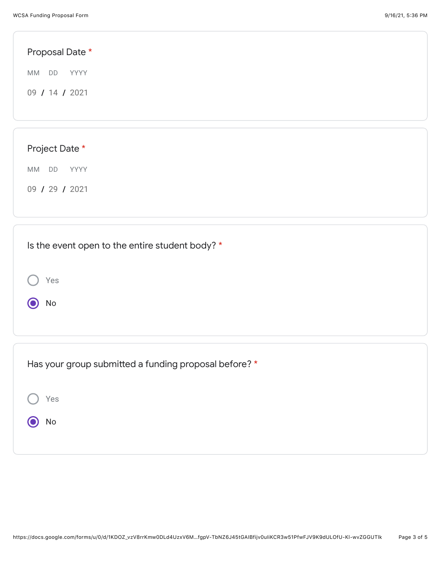| Proposal Date *         |  |  |
|-------------------------|--|--|
| <b>MM</b><br>DD<br>YYYY |  |  |
| 09 / 14 / 2021          |  |  |
|                         |  |  |
|                         |  |  |
| Project Date *          |  |  |
| MM<br>DD<br>YYYY        |  |  |
| 09 / 29 / 2021          |  |  |
|                         |  |  |
|                         |  |  |

| Is the event open to the entire student body? *       |  |
|-------------------------------------------------------|--|
| Yes<br>No                                             |  |
|                                                       |  |
| Has your group submitted a funding proposal before? * |  |
| Yes                                                   |  |
| No                                                    |  |
|                                                       |  |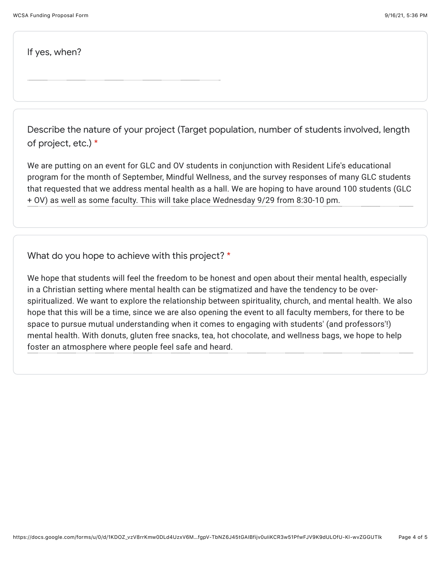If yes, when?

Describe the nature of your project (Target population, number of students involved, length of project, etc.) \*

We are putting on an event for GLC and OV students in conjunction with Resident Life's educational program for the month of September, Mindful Wellness, and the survey responses of many GLC students that requested that we address mental health as a hall. We are hoping to have around 100 students (GLC + OV) as well as some faculty. This will take place Wednesday 9/29 from 8:30-10 pm.

What do you hope to achieve with this project? \*

We hope that students will feel the freedom to be honest and open about their mental health, especially in a Christian setting where mental health can be stigmatized and have the tendency to be overspiritualized. We want to explore the relationship between spirituality, church, and mental health. We also hope that this will be a time, since we are also opening the event to all faculty members, for there to be space to pursue mutual understanding when it comes to engaging with students' (and professors'!) mental health. With donuts, gluten free snacks, tea, hot chocolate, and wellness bags, we hope to help foster an atmosphere where people feel safe and heard.